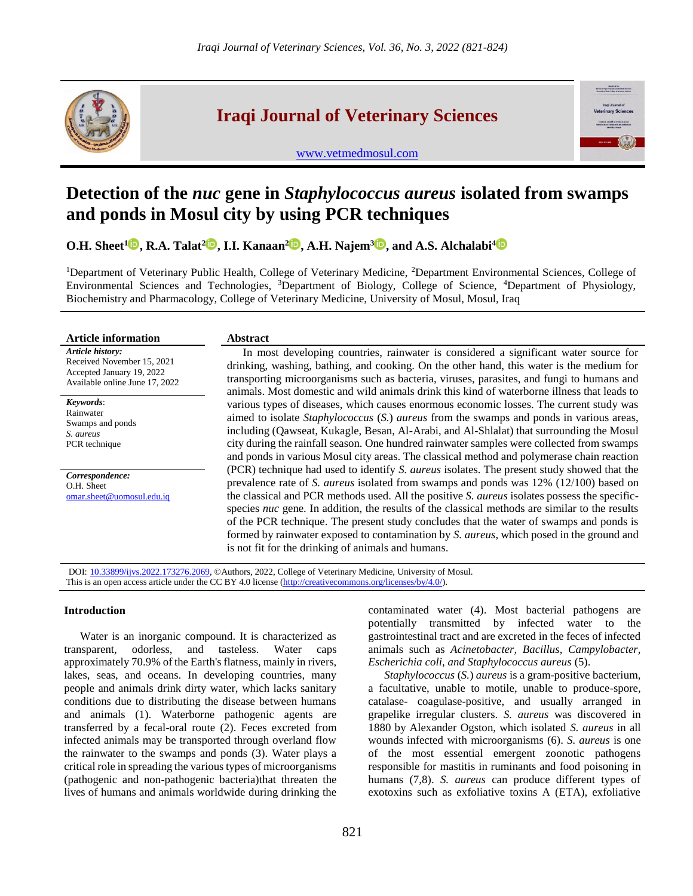

# **Iraqi Journal of Veterinary Sciences**

[www.vetmedmosul.com](http://www.vetmedmosul.com/)



# **Detection of the** *nuc* **gene in** *Staphylococcus aureus* **isolated from swamps and ponds in Mosul city by using PCR techniques**

**O.H. Sheet[1](https://orcid.org/0000-0003-3671-0998) , R.A. Talat<sup>2</sup> , I.I. Kanaan[2](https://orcid.org/000-0003-3671-0998) , A.H. Najem<sup>3</sup> , and A.S. Alchalabi[4](https://orcid.org/0000-0003-0414-280X)**

<sup>1</sup>Department of Veterinary Public Health, College of Veterinary Medicine, <sup>2</sup>Department Environmental Sciences, College of Environmental Sciences and Technologies, <sup>3</sup>Department of Biology, College of Science, <sup>4</sup>Department of Physiology, Biochemistry and Pharmacology, College of Veterinary Medicine, University of Mosul, Mosul, Iraq

| <b>Article information</b>                                                                                    | <b>Abstract</b>                                                                                                                                                                                                                                                                                                                                                                                                                                                                                                                                                                                                                                                                                                                                                                                                                                                                                                                                                                                                                                                                                                                                                                                                                                                                                                                                                                                                                                                                                               |
|---------------------------------------------------------------------------------------------------------------|---------------------------------------------------------------------------------------------------------------------------------------------------------------------------------------------------------------------------------------------------------------------------------------------------------------------------------------------------------------------------------------------------------------------------------------------------------------------------------------------------------------------------------------------------------------------------------------------------------------------------------------------------------------------------------------------------------------------------------------------------------------------------------------------------------------------------------------------------------------------------------------------------------------------------------------------------------------------------------------------------------------------------------------------------------------------------------------------------------------------------------------------------------------------------------------------------------------------------------------------------------------------------------------------------------------------------------------------------------------------------------------------------------------------------------------------------------------------------------------------------------------|
| Article history:<br>Received November 15, 2021<br>Accepted January 19, 2022<br>Available online June 17, 2022 | In most developing countries, rainwater is considered a significant water source for<br>drinking, washing, bathing, and cooking. On the other hand, this water is the medium for<br>transporting microorganisms such as bacteria, viruses, parasites, and fungi to humans and<br>animals. Most domestic and wild animals drink this kind of waterborne illness that leads to<br>various types of diseases, which causes enormous economic losses. The current study was<br>aimed to isolate Staphylococcus (S.) aureus from the swamps and ponds in various areas,<br>including (Qawseat, Kukagle, Besan, Al-Arabi, and Al-Shlalat) that surrounding the Mosul<br>city during the rainfall season. One hundred rainwater samples were collected from swamps<br>and ponds in various Mosul city areas. The classical method and polymerase chain reaction<br>(PCR) technique had used to identify S. aureus isolates. The present study showed that the<br>prevalence rate of S. <i>aureus</i> isolated from swamps and ponds was 12% (12/100) based on<br>the classical and PCR methods used. All the positive S. aureus isolates possess the specific-<br>species <i>nuc</i> gene. In addition, the results of the classical methods are similar to the results<br>of the PCR technique. The present study concludes that the water of swamps and ponds is<br>formed by rainwater exposed to contamination by S. aureus, which posed in the ground and<br>is not fit for the drinking of animals and humans. |
| Keywords:<br>Rainwater<br>Swamps and ponds<br>S. aureus<br>PCR technique                                      |                                                                                                                                                                                                                                                                                                                                                                                                                                                                                                                                                                                                                                                                                                                                                                                                                                                                                                                                                                                                                                                                                                                                                                                                                                                                                                                                                                                                                                                                                                               |
| Correspondence:<br>O.H. Sheet<br>omar.sheet@uomosul.edu.iq                                                    |                                                                                                                                                                                                                                                                                                                                                                                                                                                                                                                                                                                                                                                                                                                                                                                                                                                                                                                                                                                                                                                                                                                                                                                                                                                                                                                                                                                                                                                                                                               |

DOI: [10.33899/ijvs.2022.173276.2069,](https://vetmedmosul.com/article_173276.html) ©Authors, 2022, College of Veterinary Medicine, University of Mosul. This is an open access article under the CC BY 4.0 license [\(http://creativecommons.org/licenses/by/4.0/\)](http://creativecommons.org/licenses/by/4.0/).

## **Introduction**

Water is an inorganic compound. It is characterized as transparent, odorless, and tasteless. Water caps approximately 70.9% of the Earth's flatness, mainly in rivers, lakes, seas, and oceans. In developing countries, many people and animals drink dirty water, which lacks sanitary conditions due to distributing the disease between humans and animals (1). Waterborne pathogenic agents are transferred by a fecal-oral route (2). Feces excreted from infected animals may be transported through overland flow the rainwater to the swamps and ponds (3). Water plays a critical role in spreading the various types of microorganisms (pathogenic and non-pathogenic bacteria)that threaten the lives of humans and animals worldwide during drinking the contaminated water (4). Most bacterial pathogens are potentially transmitted by infected water to the gastrointestinal tract and are excreted in the feces of infected animals such as *Acinetobacter, Bacillus, Campylobacter, Escherichia coli, and Staphylococcus aureus* (5).

*Staphylococcus* (*S.*) *aureus* is a gram-positive bacterium, a facultative, unable to motile, unable to produce-spore, catalase- coagulase-positive, and usually arranged in grapelike irregular clusters. *S. aureus* was discovered in 1880 by Alexander Ogston, which isolated *S. aureus* in all wounds infected with microorganisms (6). *S. aureus* is one of the most essential emergent zoonotic pathogens responsible for mastitis in ruminants and food poisoning in humans (7,8). *S. aureus* can produce different types of exotoxins such as exfoliative toxins A (ETA), exfoliative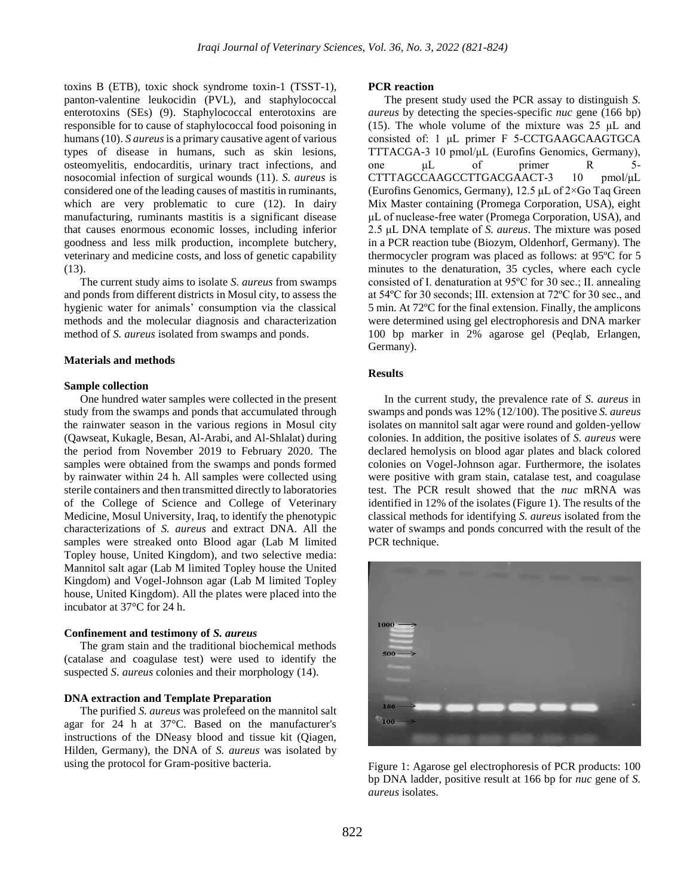toxins B (ETB), toxic shock syndrome toxin-1 (TSST-1), panton-valentine leukocidin (PVL), and staphylococcal enterotoxins (SEs) (9). Staphylococcal enterotoxins are responsible for to cause of staphylococcal food poisoning in humans (10). *S aureus* is a primary causative agent of various types of disease in humans, such as skin lesions, osteomyelitis, endocarditis, urinary tract infections, and nosocomial infection of surgical wounds (11). *S. aureus* is considered one of the leading causes of mastitis in ruminants, which are very problematic to cure (12). In dairy manufacturing, ruminants mastitis is a significant disease that causes enormous economic losses, including inferior goodness and less milk production, incomplete butchery, veterinary and medicine costs, and loss of genetic capability (13).

The current study aims to isolate *S. aureus* from swamps and ponds from different districts in Mosul city, to assess the hygienic water for animals' consumption via the classical methods and the molecular diagnosis and characterization method of *S. aureus* isolated from swamps and ponds.

### **Materials and methods**

#### **Sample collection**

One hundred water samples were collected in the present study from the swamps and ponds that accumulated through the rainwater season in the various regions in Mosul city (Qawseat, Kukagle, Besan, Al-Arabi, and Al-Shlalat) during the period from November 2019 to February 2020. The samples were obtained from the swamps and ponds formed by rainwater within 24 h. All samples were collected using sterile containers and then transmitted directly to laboratories of the College of Science and College of Veterinary Medicine, Mosul University, Iraq, to identify the phenotypic characterizations of *S. aureus* and extract DNA. All the samples were streaked onto Blood agar (Lab M limited Topley house, United Kingdom), and two selective media: Mannitol salt agar (Lab M limited Topley house the United Kingdom) and Vogel-Johnson agar (Lab M limited Topley house, United Kingdom). All the plates were placed into the incubator at 37°C for 24 h.

### **Confinement and testimony of** *S. aureus*

The gram stain and the traditional biochemical methods (catalase and coagulase test) were used to identify the suspected *S. aureus* colonies and their morphology (14).

#### **DNA extraction and Template Preparation**

The purified *S. aureus* was prolefeed on the mannitol salt agar for 24 h at 37°C. Based on the manufacturer's instructions of the DNeasy blood and tissue kit (Qiagen, Hilden, Germany), the DNA of *S. aureus* was isolated by using the protocol for Gram-positive bacteria.

#### **PCR reaction**

The present study used the PCR assay to distinguish *S. aureus* by detecting the species-specific *nuc* gene (166 bp) (15). The whole volume of the mixture was 25 μL and consisted of: 1 μL primer F 5-CCTGAAGCAAGTGCA TTTACGA-3 10 pmol/μL (Eurofins Genomics, Germany), one μL of primer R 5- CTTTAGCCAAGCCTTGACGAACT-3 10 pmol/μL (Eurofins Genomics, Germany), 12.5 μL of 2×Go Taq Green Mix Master containing (Promega Corporation, USA), eight μL of nuclease-free water (Promega Corporation, USA), and 2.5 μL DNA template of *S. aureus*. The mixture was posed in a PCR reaction tube (Biozym, Oldenhorf, Germany). The thermocycler program was placed as follows: at 95ºC for 5 minutes to the denaturation, 35 cycles, where each cycle consisted of Ⅰ. denaturation at 95ºC for 30 sec.; Ⅱ. annealing at 54ºC for 30 seconds; Ⅲ. extension at 72ºC for 30 sec., and 5 min. At 72ºC for the final extension. Finally, the amplicons were determined using gel electrophoresis and DNA marker 100 bp marker in 2% agarose gel (Peqlab, Erlangen, Germany).

## **Results**

In the current study, the prevalence rate of *S. aureus* in swamps and ponds was 12% (12/100). The positive *S. aureus* isolates on mannitol salt agar were round and golden-yellow colonies. In addition, the positive isolates of *S. aureus* were declared hemolysis on blood agar plates and black colored colonies on Vogel-Johnson agar. Furthermore, the isolates were positive with gram stain, catalase test, and coagulase test. The PCR result showed that the *nuc* mRNA was identified in 12% of the isolates (Figure 1). The results of the classical methods for identifying *S. aureus* isolated from the water of swamps and ponds concurred with the result of the PCR technique.



Figure 1: Agarose gel electrophoresis of PCR products: 100 bp DNA ladder, positive result at 166 bp for *nuc* gene of *S. aureus* isolates.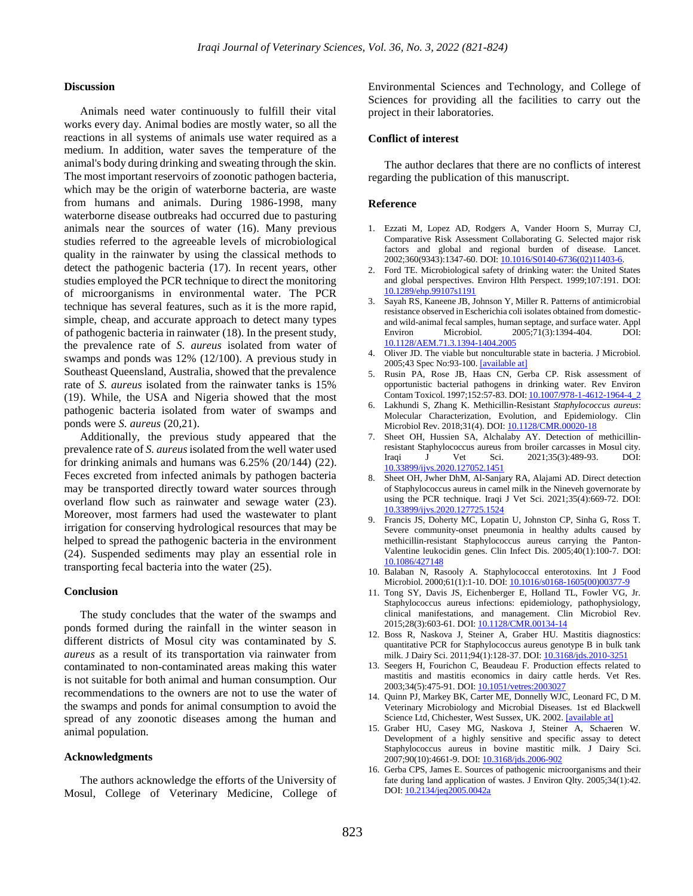## **Discussion**

Animals need water continuously to fulfill their vital works every day. Animal bodies are mostly water, so all the reactions in all systems of animals use water required as a medium. In addition, water saves the temperature of the animal's body during drinking and sweating through the skin. The most important reservoirs of zoonotic pathogen bacteria, which may be the origin of waterborne bacteria, are waste from humans and animals. During 1986-1998, many waterborne disease outbreaks had occurred due to pasturing animals near the sources of water (16). Many previous studies referred to the agreeable levels of microbiological quality in the rainwater by using the classical methods to detect the pathogenic bacteria (17). In recent years, other studies employed the PCR technique to direct the monitoring of microorganisms in environmental water. The PCR technique has several features, such as it is the more rapid, simple, cheap, and accurate approach to detect many types of pathogenic bacteria in rainwater (18). In the present study, the prevalence rate of *S. aureus* isolated from water of swamps and ponds was 12% (12/100). A previous study in Southeast Queensland, Australia, showed that the prevalence rate of *S. aureus* isolated from the rainwater tanks is 15% (19). While, the USA and Nigeria showed that the most pathogenic bacteria isolated from water of swamps and ponds were *S. aureus* (20,21).

Additionally, the previous study appeared that the prevalence rate of *S. aureus*isolated from the well water used for drinking animals and humans was  $6.25\%$   $(20/144)$   $(22)$ . Feces excreted from infected animals by pathogen bacteria may be transported directly toward water sources through overland flow such as rainwater and sewage water (23). Moreover, most farmers had used the wastewater to plant irrigation for conserving hydrological resources that may be helped to spread the pathogenic bacteria in the environment (24). Suspended sediments may play an essential role in transporting fecal bacteria into the water (25).

#### **Conclusion**

The study concludes that the water of the swamps and ponds formed during the rainfall in the winter season in different districts of Mosul city was contaminated by *S. aureus* as a result of its transportation via rainwater from contaminated to non-contaminated areas making this water is not suitable for both animal and human consumption. Our recommendations to the owners are not to use the water of the swamps and ponds for animal consumption to avoid the spread of any zoonotic diseases among the human and animal population.

## **Acknowledgments**

The authors acknowledge the efforts of the University of Mosul, College of Veterinary Medicine, College of Environmental Sciences and Technology, and College of Sciences for providing all the facilities to carry out the project in their laboratories.

#### **Conflict of interest**

The author declares that there are no conflicts of interest regarding the publication of this manuscript.

## **Reference**

- 1. Ezzati M, Lopez AD, Rodgers A, Vander Hoorn S, Murray CJ, Comparative Risk Assessment Collaborating G. Selected major risk factors and global and regional burden of disease. Lancet. 2002;360(9343):1347-60. DOI[: 10.1016/S0140-6736\(02\)11403-6.](http://dx.doi.org/10.1016/S0140-6736(02)11403-6)
- 2. Ford TE. Microbiological safety of drinking water: the United States and global perspectives. Environ Hlth Perspect. 1999;107:191. DOI: [10.1289/ehp.99107s1191](https://dx.doi.org/10.1289%2Fehp.99107s1191)
- 3. Sayah RS, Kaneene JB, Johnson Y, Miller R. Patterns of antimicrobial resistance observed in Escherichia coli isolates obtained from domesticand wild-animal fecal samples, human septage, and surface water. Appl Environ Microbiol. 2005;71(3):1394-404. DOI: [10.1128/AEM.71.3.1394-1404.2005](https://ui.adsabs.harvard.edu/link_gateway/2005ApEnM..71.1394S/doi:10.1128/AEM.71.3.1394-1404.2005)
- 4. Oliver JD. The viable but nonculturable state in bacteria. J Microbiol. 2005;43 Spec No:93-100. [\[available at\]](https://www.koreascience.or.kr/article/JAKO200503018543485)
- 5. Rusin PA, Rose JB, Haas CN, Gerba CP. Risk assessment of opportunistic bacterial pathogens in drinking water. Rev Environ Contam Toxicol. 1997;152:57-83. DOI[: 10.1007/978-1-4612-1964-4\\_2](http://www.doi.org/10.1007/978-1-4612-1964-4_2)
- 6. Lakhundi S, Zhang K. Methicillin-Resistant *Staphylococcus aureus*: Molecular Characterization, Evolution, and Epidemiology. Clin Microbiol Rev. 2018;31(4). DOI[: 10.1128/CMR.00020-18](http://www.doi.org/10.1128/CMR.00020-18)
- 7. Sheet OH, Hussien SA, Alchalaby AY. Detection of methicillinresistant Staphylococcus aureus from broiler carcasses in Mosul city. Iraqi J Vet Sci. 2021;35(3):489-93. DOI: [10.33899/ijvs.2020.127052.1451](http://www.doi.org/10.33899/ijvs.2020.127052.1451)
- 8. Sheet OH, Jwher DhM, Al-Sanjary RA, Alajami AD. Direct detection of Staphylococcus aureus in camel milk in the Nineveh governorate by using the PCR technique. Iraqi J Vet Sci. 2021;35(4):669-72. DOI: [10.33899/ijvs.2020.127725.1524](http://www.doi.org/10.33899/ijvs.2020.127725.1524)
- 9. Francis JS, Doherty MC, Lopatin U, Johnston CP, Sinha G, Ross T. Severe community-onset pneumonia in healthy adults caused by methicillin-resistant Staphylococcus aureus carrying the Panton-Valentine leukocidin genes. Clin Infect Dis. 2005;40(1):100-7. DOI: [10.1086/427148](http://www.doi.org/10.1086/427148)
- 10. Balaban N, Rasooly A. Staphylococcal enterotoxins. Int J Food Microbiol. 2000;61(1):1-10. DOI[: 10.1016/s0168-1605\(00\)00377-9](http://www.doi.org/10.1016/s0168-1605(00)00377-9)
- 11. Tong SY, Davis JS, Eichenberger E, Holland TL, Fowler VG, Jr. Staphylococcus aureus infections: epidemiology, pathophysiology, clinical manifestations, and management. Clin Microbiol Rev. 2015;28(3):603-61. DOI[: 10.1128/CMR.00134-14](http://www.doi.org/10.1128/CMR.00134-14)
- 12. Boss R, Naskova J, Steiner A, Graber HU. Mastitis diagnostics: quantitative PCR for Staphylococcus aureus genotype B in bulk tank milk. J Dairy Sci. 2011;94(1):128-37. DOI[: 10.3168/jds.2010-3251](http://www.doi.org/10.3168/jds.2010-3251)
- 13. Seegers H, Fourichon C, Beaudeau F. Production effects related to mastitis and mastitis economics in dairy cattle herds. Vet Res. 2003;34(5):475-91. DOI[: 10.1051/vetres:2003027](http://www.doi.org/10.1051/vetres:2003027)
- 14. Quinn PJ, Markey BK, Carter ME, Donnelly WJC, Leonard FC, D M. Veterinary Microbiology and Microbial Diseases. 1st ed Blackwell Science Ltd, Chichester, West Sussex, UK. 2002. [\[available at\]](https://www.cabdirect.org/cabdirect/abstract/20013163051)
- 15. Graber HU, Casey MG, Naskova J, Steiner A, Schaeren W. Development of a highly sensitive and specific assay to detect Staphylococcus aureus in bovine mastitic milk. J Dairy Sci. 2007;90(10):4661-9. DOI[: 10.3168/jds.2006-902](http://www.doi.org/10.3168/jds.2006-902)
- 16. Gerba CPS, James E. Sources of pathogenic microorganisms and their fate during land application of wastes. J Environ Qlty. 2005;34(1):42. DOI[: 10.2134/jeq2005.0042a](http://www.doi.org/10.2134/jeq2005.0042a)